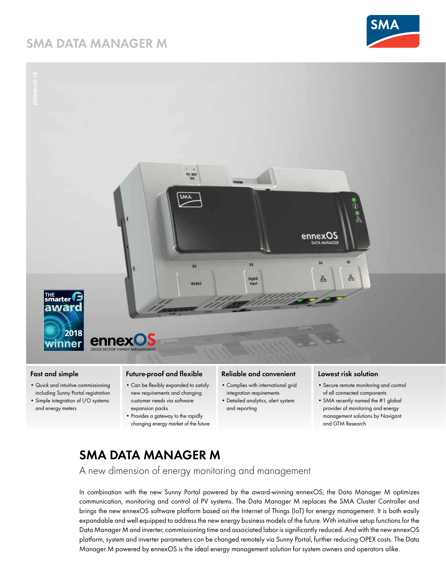# **SMA DATA MANAGER M**





## **Fast and simple**

- Quick and intuitive commissioning including Sunny Portal registration
- Simple integration of I/O systems and energy meters

### **Future-proof and flexible**

- Can be flexibly expanded to satisfy new requirements and changing customer needs via software
- expansion packs • Provides a gateway to the rapidly changing energy market of the future

#### **Reliable and convenient**

- Complies with international grid integration requirements
- Detailed analytics, alert system and reporting

### **Lowest risk solution**

- Secure remote monitoring and control of all connected components
- SMA recently named the #1 global provider of monitoring and energy management solutions by Navigant and GTM Research

# **SMA DATA MANAGER M**

A new dimension of energy monitoring and management

In combination with the new Sunny Portal powered by the award-winning ennexOS, the Data Manager M optimizes communication, monitoring and control of PV systems. The Data Manager M replaces the SMA Cluster Controller and brings the new ennexOS software platform based on the Internet of Things (IoT) for energy management. It is both easily expandable and well equipped to address the new energy business models of the future. With intuitive setup functions for the Data Manager M and inverter, commissioning time and associated labor is significantly reduced. And with the new ennexOS platform, system and inverter parameters can be changed remotely via Sunny Portal, further reducing OPEX costs. The Data Manager M powered by ennexOS is the ideal energy management solution for system owners and operators alike.